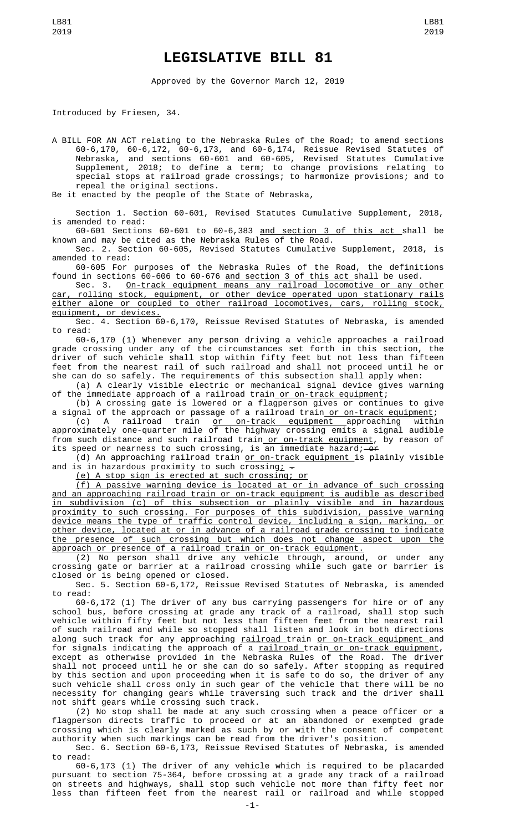## **LEGISLATIVE BILL 81**

Approved by the Governor March 12, 2019

Introduced by Friesen, 34.

A BILL FOR AN ACT relating to the Nebraska Rules of the Road; to amend sections 60-6,170, 60-6,172, 60-6,173, and 60-6,174, Reissue Revised Statutes of Nebraska, and sections 60-601 and 60-605, Revised Statutes Cumulative Supplement, 2018; to define a term; to change provisions relating to special stops at railroad grade crossings; to harmonize provisions; and to repeal the original sections.

Be it enacted by the people of the State of Nebraska,

Section 1. Section 60-601, Revised Statutes Cumulative Supplement, 2018, is amended to read:

60-601 Sections 60-601 to 60-6,383 and section 3 of this act shall be known and may be cited as the Nebraska Rules of the Road.

Sec. 2. Section 60-605, Revised Statutes Cumulative Supplement, 2018, is amended to read:

60-605 For purposes of the Nebraska Rules of the Road, the definitions found in sections 60-606 to 60-676 <u>and section 3 of this act </u>shall be used.

Sec. 3. On-track equipment means any railroad locomotive or any other car, rolling stock, equipment, or other device operated upon stationary rails either alone or coupled to other railroad locomotives, cars, rolling stock, equipment, or devices.

Sec. 4. Section 60-6,170, Reissue Revised Statutes of Nebraska, is amended to read:

60-6,170 (1) Whenever any person driving a vehicle approaches a railroad grade crossing under any of the circumstances set forth in this section, the driver of such vehicle shall stop within fifty feet but not less than fifteen feet from the nearest rail of such railroad and shall not proceed until he or she can do so safely. The requirements of this subsection shall apply when:

(a) A clearly visible electric or mechanical signal device gives warning of the immediate approach of a railroad train<u> or on-track equipment</u>;

(b) A crossing gate is lowered or a flagperson gives or continues to give a signal of the approach or passage of a railroad train <u>or on-track equipment</u>;

(c) A railroad train <u>or on-track equipment a</u>pproaching within approximately one-quarter mile of the highway crossing emits a signal audible from such distance and such railroad train<u> or on-track equipment</u>, by reason of its speed or nearness to such crossing, is an immediate hazard;—<del>or</del>

(d) An approaching railroad train <u>or on-track equipment i</u>s plainly visible and is in hazardous proximity to such crossing;  $-$ 

(e) A stop sign is erected at such crossing; or

(f) A passive warning device is located at or in advance of such crossing and an approaching railroad train or on-track equipment is audible as described in subdivision (c) of this subsection or plainly visible and in hazardous proximity to such crossing. For purposes of this subdivision, passive warning device means the type of traffic control device, including a sign, marking, or other device, located at or in advance of a railroad grade crossing to indicate the presence of such crossing but which does not change aspect upon the approach or presence of a railroad train or on-track equipment.

(2) No person shall drive any vehicle through, around, or under any crossing gate or barrier at a railroad crossing while such gate or barrier is closed or is being opened or closed.

Sec. 5. Section 60-6,172, Reissue Revised Statutes of Nebraska, is amended to read:

60-6,172 (1) The driver of any bus carrying passengers for hire or of any school bus, before crossing at grade any track of a railroad, shall stop such vehicle within fifty feet but not less than fifteen feet from the nearest rail of such railroad and while so stopped shall listen and look in both directions along such track for any approaching railroad train or on-track equipment and for signals indicating the approach of a <u>railroad train or on-track equipment</u>, except as otherwise provided in the Nebraska Rules of the Road. The driver shall not proceed until he or she can do so safely. After stopping as required

by this section and upon proceeding when it is safe to do so, the driver of any such vehicle shall cross only in such gear of the vehicle that there will be no necessity for changing gears while traversing such track and the driver shall not shift gears while crossing such track.

(2) No stop shall be made at any such crossing when a peace officer or a flagperson directs traffic to proceed or at an abandoned or exempted grade crossing which is clearly marked as such by or with the consent of competent authority when such markings can be read from the driver's position.

Sec. 6. Section 60-6,173, Reissue Revised Statutes of Nebraska, is amended to read:

60-6,173 (1) The driver of any vehicle which is required to be placarded pursuant to section 75-364, before crossing at a grade any track of a railroad on streets and highways, shall stop such vehicle not more than fifty feet nor less than fifteen feet from the nearest rail or railroad and while stopped